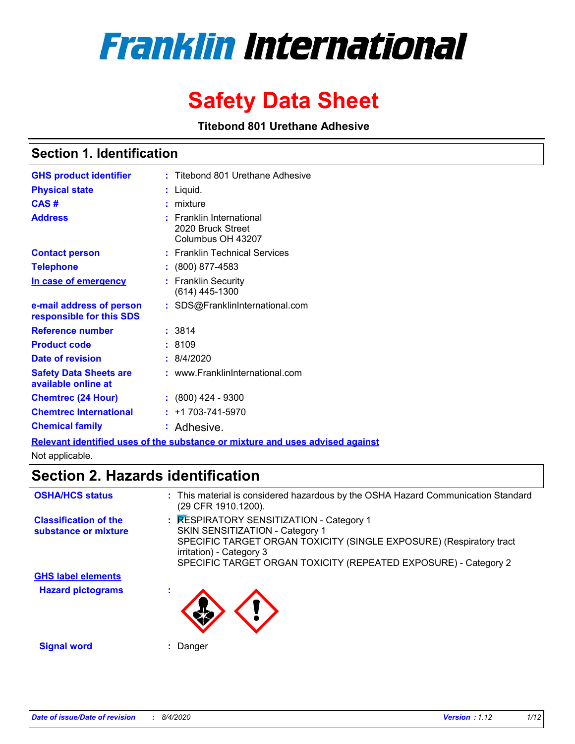# **Franklin International**

## **Safety Data Sheet**

**Titebond 801 Urethane Adhesive**

#### **Section 1. Identification**

| <b>GHS product identifier</b>                        | : Titebond 801 Urethane Adhesive                                                                                  |
|------------------------------------------------------|-------------------------------------------------------------------------------------------------------------------|
| <b>Physical state</b>                                | Liquid.                                                                                                           |
| CAS#                                                 | mixture                                                                                                           |
| <b>Address</b>                                       | <b>Franklin International</b><br>2020 Bruck Street<br>Columbus OH 43207                                           |
| <b>Contact person</b>                                | : Franklin Technical Services                                                                                     |
| <b>Telephone</b>                                     | $: (800) 877-4583$                                                                                                |
| In case of emergency                                 | <b>Franklin Security</b><br>(614) 445-1300                                                                        |
| e-mail address of person<br>responsible for this SDS | : SDS@FranklinInternational.com                                                                                   |
| <b>Reference number</b>                              | : 3814                                                                                                            |
| <b>Product code</b>                                  | :8109                                                                                                             |
| Date of revision                                     | : 8/4/2020                                                                                                        |
| <b>Safety Data Sheets are</b><br>available online at | : www.FranklinInternational.com                                                                                   |
| <b>Chemtrec (24 Hour)</b>                            | $: (800)$ 424 - 9300                                                                                              |
| <b>Chemtrec International</b>                        | $: +1703 - 741 - 5970$                                                                                            |
| <b>Chemical family</b>                               | : Adhesive.                                                                                                       |
|                                                      | Photo considered and the constant of the constitution of the constraints and the constitution of the constitution |

**Relevant identified uses of the substance or mixture and uses advised against**

Not applicable.

### **Section 2. Hazards identification**

| <b>OSHA/HCS status</b>                               | : This material is considered hazardous by the OSHA Hazard Communication Standard<br>(29 CFR 1910.1200).                                                                                                                                          |
|------------------------------------------------------|---------------------------------------------------------------------------------------------------------------------------------------------------------------------------------------------------------------------------------------------------|
| <b>Classification of the</b><br>substance or mixture | : RESPIRATORY SENSITIZATION - Category 1<br>SKIN SENSITIZATION - Category 1<br>SPECIFIC TARGET ORGAN TOXICITY (SINGLE EXPOSURE) (Respiratory tract<br>irritation) - Category 3<br>SPECIFIC TARGET ORGAN TOXICITY (REPEATED EXPOSURE) - Category 2 |
| <b>GHS label elements</b>                            |                                                                                                                                                                                                                                                   |
| <b>Hazard pictograms</b>                             |                                                                                                                                                                                                                                                   |
| <b>Signal word</b>                                   | Danger                                                                                                                                                                                                                                            |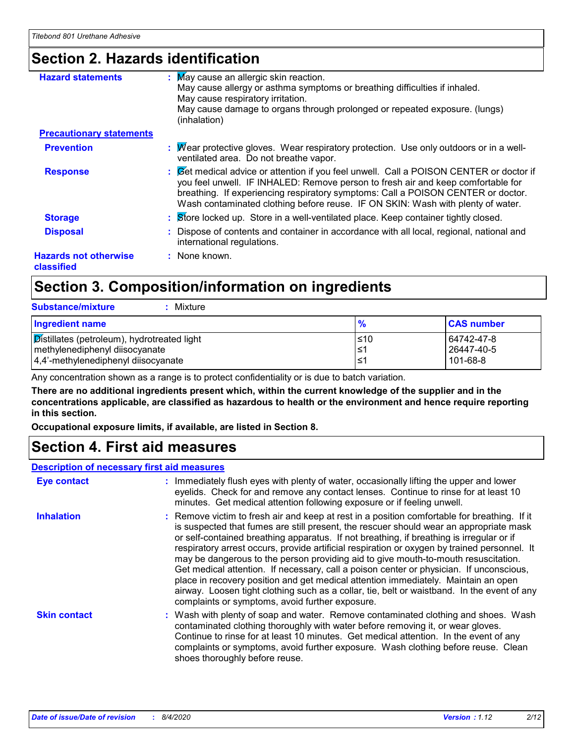### **Section 2. Hazards identification**

| <b>Hazard statements</b>                   | : May cause an allergic skin reaction.<br>May cause allergy or asthma symptoms or breathing difficulties if inhaled.<br>May cause respiratory irritation.<br>May cause damage to organs through prolonged or repeated exposure. (lungs)<br>(inhalation)                                                                                            |
|--------------------------------------------|----------------------------------------------------------------------------------------------------------------------------------------------------------------------------------------------------------------------------------------------------------------------------------------------------------------------------------------------------|
| <b>Precautionary statements</b>            |                                                                                                                                                                                                                                                                                                                                                    |
| <b>Prevention</b>                          | : Mear protective gloves. Wear respiratory protection. Use only outdoors or in a well-<br>ventilated area. Do not breathe vapor.                                                                                                                                                                                                                   |
| <b>Response</b>                            | : Cet medical advice or attention if you feel unwell. Call a POISON CENTER or doctor if<br>you feel unwell. IF INHALED: Remove person to fresh air and keep comfortable for<br>breathing. If experiencing respiratory symptoms: Call a POISON CENTER or doctor.<br>Wash contaminated clothing before reuse. IF ON SKIN: Wash with plenty of water. |
| <b>Storage</b>                             | : Store locked up. Store in a well-ventilated place. Keep container tightly closed.                                                                                                                                                                                                                                                                |
| <b>Disposal</b>                            | : Dispose of contents and container in accordance with all local, regional, national and<br>international regulations.                                                                                                                                                                                                                             |
| <b>Hazards not otherwise</b><br>classified | : None known.                                                                                                                                                                                                                                                                                                                                      |

### **Section 3. Composition/information on ingredients**

| <b>Substance/mixture</b><br>: Mixture                                                                                       |                    |                                      |
|-----------------------------------------------------------------------------------------------------------------------------|--------------------|--------------------------------------|
| Ingredient name                                                                                                             |                    | <b>CAS number</b>                    |
| <b>Distillates (petroleum), hydrotreated light</b><br>methylenediphenyl diisocyanate<br>4,4'-methylenediphenyl diisocyanate | I≤10<br>1≤1<br>l≤1 | 64742-47-8<br>26447-40-5<br>101-68-8 |

Any concentration shown as a range is to protect confidentiality or is due to batch variation.

**There are no additional ingredients present which, within the current knowledge of the supplier and in the concentrations applicable, are classified as hazardous to health or the environment and hence require reporting in this section.**

**Occupational exposure limits, if available, are listed in Section 8.**

### **Section 4. First aid measures**

#### **Description of necessary first aid measures**

| <b>Eye contact</b>  | : Immediately flush eyes with plenty of water, occasionally lifting the upper and lower<br>eyelids. Check for and remove any contact lenses. Continue to rinse for at least 10<br>minutes. Get medical attention following exposure or if feeling unwell.                                                                                                                                                                                                                                                                                                                                                                                                                                                                                                                                                   |
|---------------------|-------------------------------------------------------------------------------------------------------------------------------------------------------------------------------------------------------------------------------------------------------------------------------------------------------------------------------------------------------------------------------------------------------------------------------------------------------------------------------------------------------------------------------------------------------------------------------------------------------------------------------------------------------------------------------------------------------------------------------------------------------------------------------------------------------------|
| <b>Inhalation</b>   | : Remove victim to fresh air and keep at rest in a position comfortable for breathing. If it<br>is suspected that fumes are still present, the rescuer should wear an appropriate mask<br>or self-contained breathing apparatus. If not breathing, if breathing is irregular or if<br>respiratory arrest occurs, provide artificial respiration or oxygen by trained personnel. It<br>may be dangerous to the person providing aid to give mouth-to-mouth resuscitation.<br>Get medical attention. If necessary, call a poison center or physician. If unconscious,<br>place in recovery position and get medical attention immediately. Maintain an open<br>airway. Loosen tight clothing such as a collar, tie, belt or waistband. In the event of any<br>complaints or symptoms, avoid further exposure. |
| <b>Skin contact</b> | : Wash with plenty of soap and water. Remove contaminated clothing and shoes. Wash<br>contaminated clothing thoroughly with water before removing it, or wear gloves.<br>Continue to rinse for at least 10 minutes. Get medical attention. In the event of any<br>complaints or symptoms, avoid further exposure. Wash clothing before reuse. Clean<br>shoes thoroughly before reuse.                                                                                                                                                                                                                                                                                                                                                                                                                       |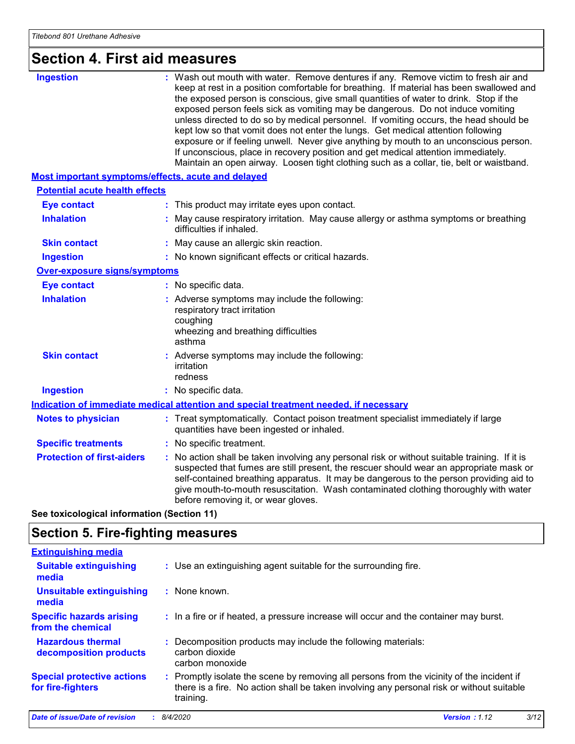### **Section 4. First aid measures**

| <b>Ingestion</b>                                   | : Wash out mouth with water. Remove dentures if any. Remove victim to fresh air and<br>keep at rest in a position comfortable for breathing. If material has been swallowed and<br>the exposed person is conscious, give small quantities of water to drink. Stop if the<br>exposed person feels sick as vomiting may be dangerous. Do not induce vomiting<br>unless directed to do so by medical personnel. If vomiting occurs, the head should be<br>kept low so that vomit does not enter the lungs. Get medical attention following<br>exposure or if feeling unwell. Never give anything by mouth to an unconscious person.<br>If unconscious, place in recovery position and get medical attention immediately.<br>Maintain an open airway. Loosen tight clothing such as a collar, tie, belt or waistband. |
|----------------------------------------------------|-------------------------------------------------------------------------------------------------------------------------------------------------------------------------------------------------------------------------------------------------------------------------------------------------------------------------------------------------------------------------------------------------------------------------------------------------------------------------------------------------------------------------------------------------------------------------------------------------------------------------------------------------------------------------------------------------------------------------------------------------------------------------------------------------------------------|
| Most important symptoms/effects, acute and delayed |                                                                                                                                                                                                                                                                                                                                                                                                                                                                                                                                                                                                                                                                                                                                                                                                                   |
| <b>Potential acute health effects</b>              |                                                                                                                                                                                                                                                                                                                                                                                                                                                                                                                                                                                                                                                                                                                                                                                                                   |
| <b>Eye contact</b>                                 | : This product may irritate eyes upon contact.                                                                                                                                                                                                                                                                                                                                                                                                                                                                                                                                                                                                                                                                                                                                                                    |
| <b>Inhalation</b>                                  | : May cause respiratory irritation. May cause allergy or asthma symptoms or breathing<br>difficulties if inhaled.                                                                                                                                                                                                                                                                                                                                                                                                                                                                                                                                                                                                                                                                                                 |
| <b>Skin contact</b>                                | : May cause an allergic skin reaction.                                                                                                                                                                                                                                                                                                                                                                                                                                                                                                                                                                                                                                                                                                                                                                            |
| <b>Ingestion</b>                                   | : No known significant effects or critical hazards.                                                                                                                                                                                                                                                                                                                                                                                                                                                                                                                                                                                                                                                                                                                                                               |
| Over-exposure signs/symptoms                       |                                                                                                                                                                                                                                                                                                                                                                                                                                                                                                                                                                                                                                                                                                                                                                                                                   |
| <b>Eye contact</b>                                 | : No specific data.                                                                                                                                                                                                                                                                                                                                                                                                                                                                                                                                                                                                                                                                                                                                                                                               |
| <b>Inhalation</b>                                  | : Adverse symptoms may include the following:<br>respiratory tract irritation<br>coughing<br>wheezing and breathing difficulties<br>asthma                                                                                                                                                                                                                                                                                                                                                                                                                                                                                                                                                                                                                                                                        |
| <b>Skin contact</b>                                | : Adverse symptoms may include the following:<br>irritation<br>redness                                                                                                                                                                                                                                                                                                                                                                                                                                                                                                                                                                                                                                                                                                                                            |
| <b>Ingestion</b>                                   | : No specific data.                                                                                                                                                                                                                                                                                                                                                                                                                                                                                                                                                                                                                                                                                                                                                                                               |
|                                                    | Indication of immediate medical attention and special treatment needed, if necessary                                                                                                                                                                                                                                                                                                                                                                                                                                                                                                                                                                                                                                                                                                                              |
| <b>Notes to physician</b>                          | : Treat symptomatically. Contact poison treatment specialist immediately if large<br>quantities have been ingested or inhaled.                                                                                                                                                                                                                                                                                                                                                                                                                                                                                                                                                                                                                                                                                    |
| <b>Specific treatments</b>                         | : No specific treatment.                                                                                                                                                                                                                                                                                                                                                                                                                                                                                                                                                                                                                                                                                                                                                                                          |
| <b>Protection of first-aiders</b>                  | No action shall be taken involving any personal risk or without suitable training. If it is<br>suspected that fumes are still present, the rescuer should wear an appropriate mask or<br>self-contained breathing apparatus. It may be dangerous to the person providing aid to<br>give mouth-to-mouth resuscitation. Wash contaminated clothing thoroughly with water<br>before removing it, or wear gloves.                                                                                                                                                                                                                                                                                                                                                                                                     |
|                                                    |                                                                                                                                                                                                                                                                                                                                                                                                                                                                                                                                                                                                                                                                                                                                                                                                                   |

**See toxicological information (Section 11)**

### **Section 5. Fire-fighting measures**

| <b>Extinguishing media</b>                             |                                                                                                                                                                                                     |
|--------------------------------------------------------|-----------------------------------------------------------------------------------------------------------------------------------------------------------------------------------------------------|
| <b>Suitable extinguishing</b><br>media                 | : Use an extinguishing agent suitable for the surrounding fire.                                                                                                                                     |
| Unsuitable extinguishing<br>media                      | : None known.                                                                                                                                                                                       |
| <b>Specific hazards arising</b><br>from the chemical   | : In a fire or if heated, a pressure increase will occur and the container may burst.                                                                                                               |
| <b>Hazardous thermal</b><br>decomposition products     | : Decomposition products may include the following materials:<br>carbon dioxide<br>carbon monoxide                                                                                                  |
| <b>Special protective actions</b><br>for fire-fighters | : Promptly isolate the scene by removing all persons from the vicinity of the incident if<br>there is a fire. No action shall be taken involving any personal risk or without suitable<br>training. |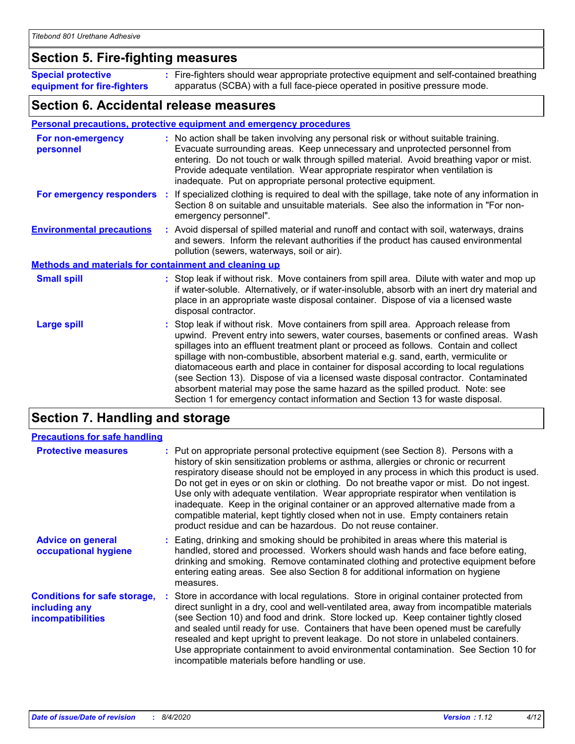### **Section 5. Fire-fighting measures**

**Special protective equipment for fire-fighters** Fire-fighters should wear appropriate protective equipment and self-contained breathing **:** apparatus (SCBA) with a full face-piece operated in positive pressure mode.

#### **Section 6. Accidental release measures**

#### **Personal precautions, protective equipment and emergency procedures**

| For non-emergency<br>personnel                               | : No action shall be taken involving any personal risk or without suitable training.<br>Evacuate surrounding areas. Keep unnecessary and unprotected personnel from<br>entering. Do not touch or walk through spilled material. Avoid breathing vapor or mist.<br>Provide adequate ventilation. Wear appropriate respirator when ventilation is<br>inadequate. Put on appropriate personal protective equipment.                                                                                                                                                                                                                                                                                             |
|--------------------------------------------------------------|--------------------------------------------------------------------------------------------------------------------------------------------------------------------------------------------------------------------------------------------------------------------------------------------------------------------------------------------------------------------------------------------------------------------------------------------------------------------------------------------------------------------------------------------------------------------------------------------------------------------------------------------------------------------------------------------------------------|
|                                                              | For emergency responders : If specialized clothing is required to deal with the spillage, take note of any information in<br>Section 8 on suitable and unsuitable materials. See also the information in "For non-<br>emergency personnel".                                                                                                                                                                                                                                                                                                                                                                                                                                                                  |
| <b>Environmental precautions</b>                             | : Avoid dispersal of spilled material and runoff and contact with soil, waterways, drains<br>and sewers. Inform the relevant authorities if the product has caused environmental<br>pollution (sewers, waterways, soil or air).                                                                                                                                                                                                                                                                                                                                                                                                                                                                              |
| <b>Methods and materials for containment and cleaning up</b> |                                                                                                                                                                                                                                                                                                                                                                                                                                                                                                                                                                                                                                                                                                              |
| <b>Small spill</b>                                           | : Stop leak if without risk. Move containers from spill area. Dilute with water and mop up<br>if water-soluble. Alternatively, or if water-insoluble, absorb with an inert dry material and<br>place in an appropriate waste disposal container. Dispose of via a licensed waste<br>disposal contractor.                                                                                                                                                                                                                                                                                                                                                                                                     |
| <b>Large spill</b>                                           | : Stop leak if without risk. Move containers from spill area. Approach release from<br>upwind. Prevent entry into sewers, water courses, basements or confined areas. Wash<br>spillages into an effluent treatment plant or proceed as follows. Contain and collect<br>spillage with non-combustible, absorbent material e.g. sand, earth, vermiculite or<br>diatomaceous earth and place in container for disposal according to local regulations<br>(see Section 13). Dispose of via a licensed waste disposal contractor. Contaminated<br>absorbent material may pose the same hazard as the spilled product. Note: see<br>Section 1 for emergency contact information and Section 13 for waste disposal. |

### **Section 7. Handling and storage**

| <b>Precautions for safe handling</b>                                             |                                                                                                                                                                                                                                                                                                                                                                                                                                                                                                                                                                                                                                                                                                    |
|----------------------------------------------------------------------------------|----------------------------------------------------------------------------------------------------------------------------------------------------------------------------------------------------------------------------------------------------------------------------------------------------------------------------------------------------------------------------------------------------------------------------------------------------------------------------------------------------------------------------------------------------------------------------------------------------------------------------------------------------------------------------------------------------|
| <b>Protective measures</b>                                                       | : Put on appropriate personal protective equipment (see Section 8). Persons with a<br>history of skin sensitization problems or asthma, allergies or chronic or recurrent<br>respiratory disease should not be employed in any process in which this product is used.<br>Do not get in eyes or on skin or clothing. Do not breathe vapor or mist. Do not ingest.<br>Use only with adequate ventilation. Wear appropriate respirator when ventilation is<br>inadequate. Keep in the original container or an approved alternative made from a<br>compatible material, kept tightly closed when not in use. Empty containers retain<br>product residue and can be hazardous. Do not reuse container. |
| <b>Advice on general</b><br>occupational hygiene                                 | : Eating, drinking and smoking should be prohibited in areas where this material is<br>handled, stored and processed. Workers should wash hands and face before eating,<br>drinking and smoking. Remove contaminated clothing and protective equipment before<br>entering eating areas. See also Section 8 for additional information on hygiene<br>measures.                                                                                                                                                                                                                                                                                                                                      |
| <b>Conditions for safe storage,</b><br>including any<br><b>incompatibilities</b> | : Store in accordance with local regulations. Store in original container protected from<br>direct sunlight in a dry, cool and well-ventilated area, away from incompatible materials<br>(see Section 10) and food and drink. Store locked up. Keep container tightly closed<br>and sealed until ready for use. Containers that have been opened must be carefully<br>resealed and kept upright to prevent leakage. Do not store in unlabeled containers.<br>Use appropriate containment to avoid environmental contamination. See Section 10 for<br>incompatible materials before handling or use.                                                                                                |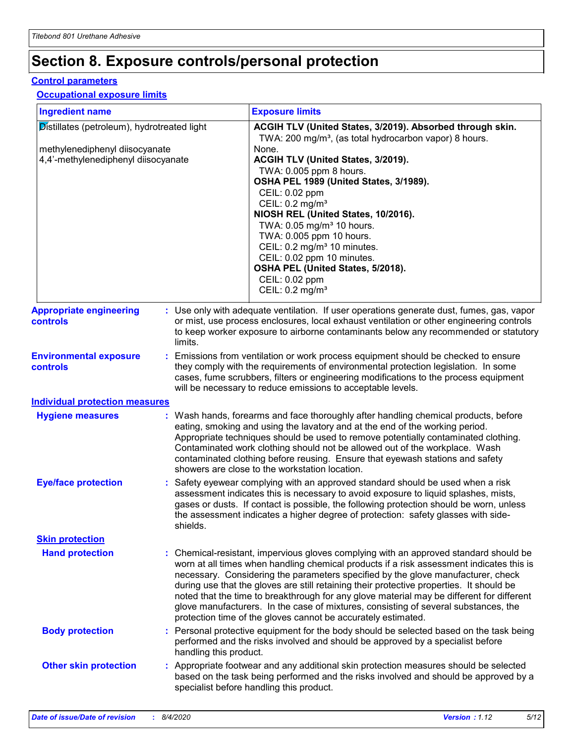### **Section 8. Exposure controls/personal protection**

#### **Control parameters**

#### **Occupational exposure limits**

| <b>Ingredient name</b><br>Distillates (petroleum), hydrotreated light<br>methylenediphenyl diisocyanate<br>4,4'-methylenediphenyl diisocyanate |  | <b>Exposure limits</b>                                                                                                                                                                                                                                                                                                                                                                                                                                                                                                                                                                                                 |  |
|------------------------------------------------------------------------------------------------------------------------------------------------|--|------------------------------------------------------------------------------------------------------------------------------------------------------------------------------------------------------------------------------------------------------------------------------------------------------------------------------------------------------------------------------------------------------------------------------------------------------------------------------------------------------------------------------------------------------------------------------------------------------------------------|--|
|                                                                                                                                                |  | ACGIH TLV (United States, 3/2019). Absorbed through skin.<br>TWA: 200 mg/m <sup>3</sup> , (as total hydrocarbon vapor) 8 hours.<br>None.<br>ACGIH TLV (United States, 3/2019).<br>TWA: 0.005 ppm 8 hours.<br>OSHA PEL 1989 (United States, 3/1989).<br>CEIL: 0.02 ppm<br>CEIL: $0.2$ mg/m <sup>3</sup><br>NIOSH REL (United States, 10/2016).<br>TWA: 0.05 mg/m <sup>3</sup> 10 hours.<br>TWA: 0.005 ppm 10 hours.<br>CEIL: 0.2 mg/m <sup>3</sup> 10 minutes.<br>CEIL: 0.02 ppm 10 minutes.<br>OSHA PEL (United States, 5/2018).<br>CEIL: 0.02 ppm<br>CEIL: $0.2 \text{ mg/m}^3$                                       |  |
| <b>Appropriate engineering</b><br><b>controls</b>                                                                                              |  | : Use only with adequate ventilation. If user operations generate dust, fumes, gas, vapor<br>or mist, use process enclosures, local exhaust ventilation or other engineering controls<br>to keep worker exposure to airborne contaminants below any recommended or statutory<br>limits.                                                                                                                                                                                                                                                                                                                                |  |
| <b>Environmental exposure</b><br>controls                                                                                                      |  | : Emissions from ventilation or work process equipment should be checked to ensure<br>they comply with the requirements of environmental protection legislation. In some<br>cases, fume scrubbers, filters or engineering modifications to the process equipment<br>will be necessary to reduce emissions to acceptable levels.                                                                                                                                                                                                                                                                                        |  |
| <b>Individual protection measures</b>                                                                                                          |  |                                                                                                                                                                                                                                                                                                                                                                                                                                                                                                                                                                                                                        |  |
| <b>Hygiene measures</b>                                                                                                                        |  | : Wash hands, forearms and face thoroughly after handling chemical products, before<br>eating, smoking and using the lavatory and at the end of the working period.<br>Appropriate techniques should be used to remove potentially contaminated clothing.<br>Contaminated work clothing should not be allowed out of the workplace. Wash<br>contaminated clothing before reusing. Ensure that eyewash stations and safety<br>showers are close to the workstation location.                                                                                                                                            |  |
| <b>Eye/face protection</b>                                                                                                                     |  | : Safety eyewear complying with an approved standard should be used when a risk<br>assessment indicates this is necessary to avoid exposure to liquid splashes, mists,<br>gases or dusts. If contact is possible, the following protection should be worn, unless<br>the assessment indicates a higher degree of protection: safety glasses with side-<br>shields.                                                                                                                                                                                                                                                     |  |
| <b>Skin protection</b>                                                                                                                         |  |                                                                                                                                                                                                                                                                                                                                                                                                                                                                                                                                                                                                                        |  |
| <b>Hand protection</b>                                                                                                                         |  | : Chemical-resistant, impervious gloves complying with an approved standard should be<br>worn at all times when handling chemical products if a risk assessment indicates this is<br>necessary. Considering the parameters specified by the glove manufacturer, check<br>during use that the gloves are still retaining their protective properties. It should be<br>noted that the time to breakthrough for any glove material may be different for different<br>glove manufacturers. In the case of mixtures, consisting of several substances, the<br>protection time of the gloves cannot be accurately estimated. |  |
| <b>Body protection</b>                                                                                                                         |  | : Personal protective equipment for the body should be selected based on the task being<br>performed and the risks involved and should be approved by a specialist before<br>handling this product.                                                                                                                                                                                                                                                                                                                                                                                                                    |  |
| <b>Other skin protection</b>                                                                                                                   |  | : Appropriate footwear and any additional skin protection measures should be selected<br>based on the task being performed and the risks involved and should be approved by a<br>specialist before handling this product.                                                                                                                                                                                                                                                                                                                                                                                              |  |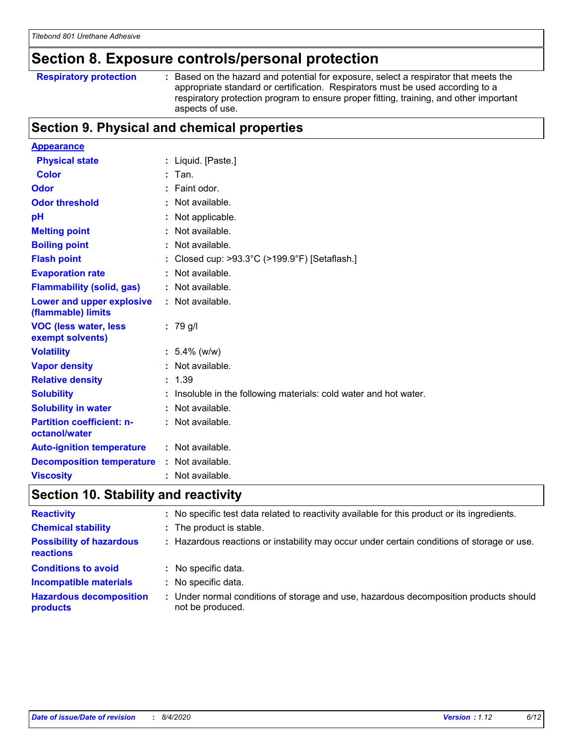### **Section 8. Exposure controls/personal protection**

|  |  | <b>Respiratory protection</b> |  |
|--|--|-------------------------------|--|
|--|--|-------------------------------|--|

**Respiratory protection :** Based on the hazard and potential for exposure, select a respirator that meets the appropriate standard or certification. Respirators must be used according to a respiratory protection program to ensure proper fitting, training, and other important aspects of use.

#### **Section 9. Physical and chemical properties**

| <b>Appearance</b>                                 |                                                                 |
|---------------------------------------------------|-----------------------------------------------------------------|
| <b>Physical state</b>                             | : Liquid. [Paste.]                                              |
| <b>Color</b>                                      | Tan.                                                            |
| Odor                                              | Faint odor.                                                     |
| <b>Odor threshold</b>                             | Not available.                                                  |
| pH                                                | Not applicable.                                                 |
| <b>Melting point</b>                              | Not available.                                                  |
| <b>Boiling point</b>                              | : Not available.                                                |
| <b>Flash point</b>                                | Closed cup: >93.3°C (>199.9°F) [Setaflash.]                     |
| <b>Evaporation rate</b>                           | : Not available.                                                |
| <b>Flammability (solid, gas)</b>                  | : Not available.                                                |
| Lower and upper explosive<br>(flammable) limits   | : Not available.                                                |
| <b>VOC (less water, less</b><br>exempt solvents)  | $: 79$ g/l                                                      |
| <b>Volatility</b>                                 | $: 5.4\%$ (w/w)                                                 |
| <b>Vapor density</b>                              | : Not available.                                                |
| <b>Relative density</b>                           | 1.39                                                            |
| <b>Solubility</b>                                 | Insoluble in the following materials: cold water and hot water. |
| <b>Solubility in water</b>                        | Not available.                                                  |
| <b>Partition coefficient: n-</b><br>octanol/water | : Not available.                                                |
| <b>Auto-ignition temperature</b>                  | : Not available.                                                |
| <b>Decomposition temperature</b>                  | : Not available.                                                |
| <b>Viscosity</b>                                  | : Not available.                                                |

### **Section 10. Stability and reactivity**

| <b>Reactivity</b>                            | : No specific test data related to reactivity available for this product or its ingredients.              |
|----------------------------------------------|-----------------------------------------------------------------------------------------------------------|
| <b>Chemical stability</b>                    | : The product is stable.                                                                                  |
| <b>Possibility of hazardous</b><br>reactions | Hazardous reactions or instability may occur under certain conditions of storage or use.                  |
| <b>Conditions to avoid</b>                   | : No specific data.                                                                                       |
| <b>Incompatible materials</b>                | : No specific data.                                                                                       |
| <b>Hazardous decomposition</b><br>products   | : Under normal conditions of storage and use, hazardous decomposition products should<br>not be produced. |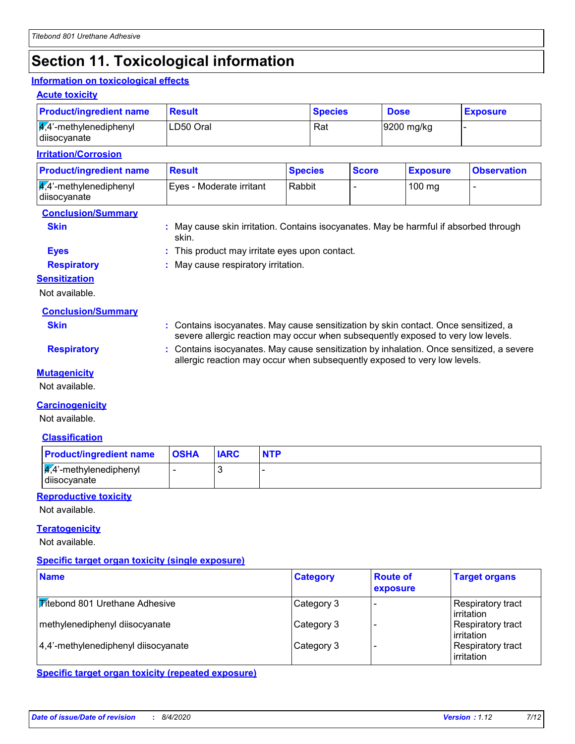### **Section 11. Toxicological information**

#### **Information on toxicological effects**

#### **Acute toxicity**

| <b>Product/ingredient name</b>                      | <b>Result</b>            | <b>Species</b> | <b>Dose</b> |              |  | <b>Exposure</b> |                          |
|-----------------------------------------------------|--------------------------|----------------|-------------|--------------|--|-----------------|--------------------------|
| $\frac{1}{4}$ ,4'-methylenediphenyl<br>diisocyanate | LD50 Oral                | Rat            |             | 9200 mg/kg   |  |                 |                          |
| <b>Irritation/Corrosion</b>                         |                          |                |             |              |  |                 |                          |
| <b>Product/ingredient name</b>                      | <b>Result</b>            | <b>Species</b> |             | <b>Score</b> |  | <b>Exposure</b> | <b>Observation</b>       |
| $\frac{1}{4}$ ,4'-methylenediphenyl<br>diisocyanate | Eyes - Moderate irritant | Rabbit         |             |              |  | $100$ mg        | $\overline{\phantom{0}}$ |

#### **Conclusion/Summary**

**Skin Example 2018 :** May cause skin irritation. Contains isocyanates. May be harmful if absorbed through skin.

#### **Eyes :** This product may irritate eyes upon contact.

**Respiratory :** May cause respiratory irritation.

#### **Sensitization**

Not available.

**Skin Example 20 Skin :** Contains isocyanates. May cause sensitization by skin contact. Once sensitized, a severe allergic reaction may occur when subsequently exposed to very low levels.

allergic reaction may occur when subsequently exposed to very low levels.

**Respiratory <b>:** Contains isocyanates. May cause sensitization by inhalation. Once sensitized, a severe

**Mutagenicity**

Not available.

#### **Carcinogenicity**

Not available.

#### **Classification**

| <b>Product/ingredient name</b>                    | <b>OSHA</b> | <b>IARC</b> | <b>NTP</b> |
|---------------------------------------------------|-------------|-------------|------------|
| $\frac{4}{4}$ . methylenediphenyl<br>diisocyanate |             |             |            |

#### **Reproductive toxicity**

Not available.

#### **Teratogenicity**

Not available.

#### **Specific target organ toxicity (single exposure)**

| <b>Name</b>                           | <b>Category</b> | <b>Route of</b><br>exposure | <b>Target organs</b>                    |
|---------------------------------------|-----------------|-----------------------------|-----------------------------------------|
| <b>Fitebond 801 Urethane Adhesive</b> | Category 3      |                             | Respiratory tract<br>l irritation       |
| methylenediphenyl diisocyanate        | Category 3      |                             | Respiratory tract<br><b>lirritation</b> |
| 4,4'-methylenediphenyl diisocyanate   | Category 3      |                             | <b>Respiratory tract</b><br>irritation  |

**Specific target organ toxicity (repeated exposure)**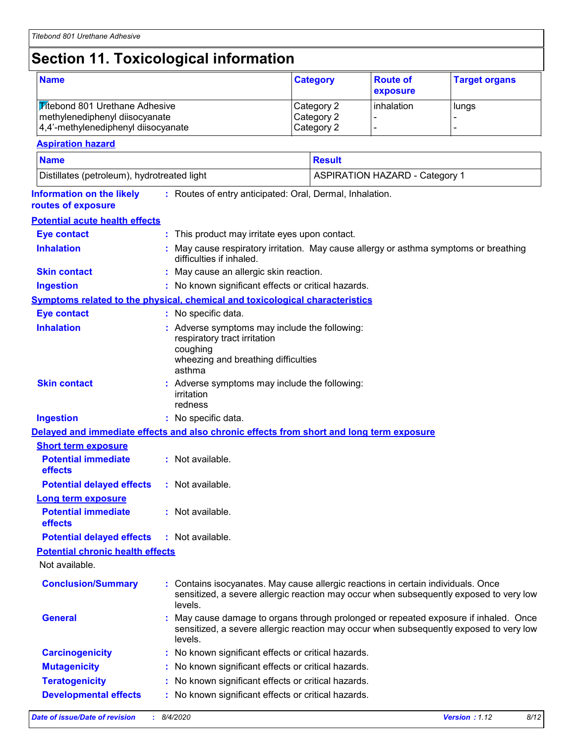### **Section 11. Toxicological information**

| <b>Name</b>                                                                                                    |                                                                                                                                                                                      |                                                                                                                                                                                         | <b>Route of</b><br><b>Category</b><br>exposure |               |                                       | <b>Target organs</b> |  |  |
|----------------------------------------------------------------------------------------------------------------|--------------------------------------------------------------------------------------------------------------------------------------------------------------------------------------|-----------------------------------------------------------------------------------------------------------------------------------------------------------------------------------------|------------------------------------------------|---------------|---------------------------------------|----------------------|--|--|
| <b>Titebond 801 Urethane Adhesive</b><br>methylenediphenyl diisocyanate<br>4,4'-methylenediphenyl diisocyanate |                                                                                                                                                                                      | Category 2<br>Category 2<br>Category 2                                                                                                                                                  |                                                | inhalation    | lungs                                 |                      |  |  |
| <b>Aspiration hazard</b>                                                                                       |                                                                                                                                                                                      |                                                                                                                                                                                         |                                                |               |                                       |                      |  |  |
| <b>Name</b>                                                                                                    |                                                                                                                                                                                      |                                                                                                                                                                                         |                                                | <b>Result</b> |                                       |                      |  |  |
| Distillates (petroleum), hydrotreated light                                                                    |                                                                                                                                                                                      |                                                                                                                                                                                         |                                                |               | <b>ASPIRATION HAZARD - Category 1</b> |                      |  |  |
|                                                                                                                |                                                                                                                                                                                      |                                                                                                                                                                                         |                                                |               |                                       |                      |  |  |
| <b>Information on the likely</b><br>routes of exposure                                                         |                                                                                                                                                                                      | : Routes of entry anticipated: Oral, Dermal, Inhalation.                                                                                                                                |                                                |               |                                       |                      |  |  |
| <b>Potential acute health effects</b>                                                                          |                                                                                                                                                                                      |                                                                                                                                                                                         |                                                |               |                                       |                      |  |  |
| <b>Eye contact</b>                                                                                             |                                                                                                                                                                                      | : This product may irritate eyes upon contact.                                                                                                                                          |                                                |               |                                       |                      |  |  |
| <b>Inhalation</b>                                                                                              |                                                                                                                                                                                      | May cause respiratory irritation. May cause allergy or asthma symptoms or breathing<br>difficulties if inhaled.                                                                         |                                                |               |                                       |                      |  |  |
| <b>Skin contact</b>                                                                                            |                                                                                                                                                                                      | : May cause an allergic skin reaction.                                                                                                                                                  |                                                |               |                                       |                      |  |  |
| <b>Ingestion</b>                                                                                               |                                                                                                                                                                                      | : No known significant effects or critical hazards.                                                                                                                                     |                                                |               |                                       |                      |  |  |
| <b>Symptoms related to the physical, chemical and toxicological characteristics</b>                            |                                                                                                                                                                                      |                                                                                                                                                                                         |                                                |               |                                       |                      |  |  |
| <b>Eye contact</b>                                                                                             |                                                                                                                                                                                      | : No specific data.                                                                                                                                                                     |                                                |               |                                       |                      |  |  |
| <b>Inhalation</b>                                                                                              | : Adverse symptoms may include the following:<br>respiratory tract irritation<br>coughing<br>wheezing and breathing difficulties<br>asthma                                           |                                                                                                                                                                                         |                                                |               |                                       |                      |  |  |
| <b>Skin contact</b>                                                                                            |                                                                                                                                                                                      | Adverse symptoms may include the following:<br>irritation<br>redness                                                                                                                    |                                                |               |                                       |                      |  |  |
| <b>Ingestion</b>                                                                                               |                                                                                                                                                                                      | : No specific data.                                                                                                                                                                     |                                                |               |                                       |                      |  |  |
| Delayed and immediate effects and also chronic effects from short and long term exposure                       |                                                                                                                                                                                      |                                                                                                                                                                                         |                                                |               |                                       |                      |  |  |
| <b>Short term exposure</b>                                                                                     |                                                                                                                                                                                      |                                                                                                                                                                                         |                                                |               |                                       |                      |  |  |
| <b>Potential immediate</b><br>effects                                                                          |                                                                                                                                                                                      | : Not available.                                                                                                                                                                        |                                                |               |                                       |                      |  |  |
| <b>Potential delayed effects</b>                                                                               |                                                                                                                                                                                      | : Not available.                                                                                                                                                                        |                                                |               |                                       |                      |  |  |
| <b>Long term exposure</b>                                                                                      |                                                                                                                                                                                      |                                                                                                                                                                                         |                                                |               |                                       |                      |  |  |
| <b>Potential immediate</b><br>effects                                                                          |                                                                                                                                                                                      | : Not available.                                                                                                                                                                        |                                                |               |                                       |                      |  |  |
| <b>Potential delayed effects</b>                                                                               |                                                                                                                                                                                      | : Not available.                                                                                                                                                                        |                                                |               |                                       |                      |  |  |
| <b>Potential chronic health effects</b>                                                                        |                                                                                                                                                                                      |                                                                                                                                                                                         |                                                |               |                                       |                      |  |  |
| Not available.                                                                                                 |                                                                                                                                                                                      |                                                                                                                                                                                         |                                                |               |                                       |                      |  |  |
| <b>Conclusion/Summary</b>                                                                                      | Contains isocyanates. May cause allergic reactions in certain individuals. Once<br>sensitized, a severe allergic reaction may occur when subsequently exposed to very low<br>levels. |                                                                                                                                                                                         |                                                |               |                                       |                      |  |  |
| <b>General</b>                                                                                                 | ÷.                                                                                                                                                                                   | May cause damage to organs through prolonged or repeated exposure if inhaled. Once<br>sensitized, a severe allergic reaction may occur when subsequently exposed to very low<br>levels. |                                                |               |                                       |                      |  |  |
| <b>Carcinogenicity</b>                                                                                         |                                                                                                                                                                                      | : No known significant effects or critical hazards.                                                                                                                                     |                                                |               |                                       |                      |  |  |
| <b>Mutagenicity</b>                                                                                            |                                                                                                                                                                                      | No known significant effects or critical hazards.                                                                                                                                       |                                                |               |                                       |                      |  |  |
| <b>Teratogenicity</b>                                                                                          |                                                                                                                                                                                      | : No known significant effects or critical hazards.                                                                                                                                     |                                                |               |                                       |                      |  |  |
| <b>Developmental effects</b>                                                                                   |                                                                                                                                                                                      | : No known significant effects or critical hazards.                                                                                                                                     |                                                |               |                                       |                      |  |  |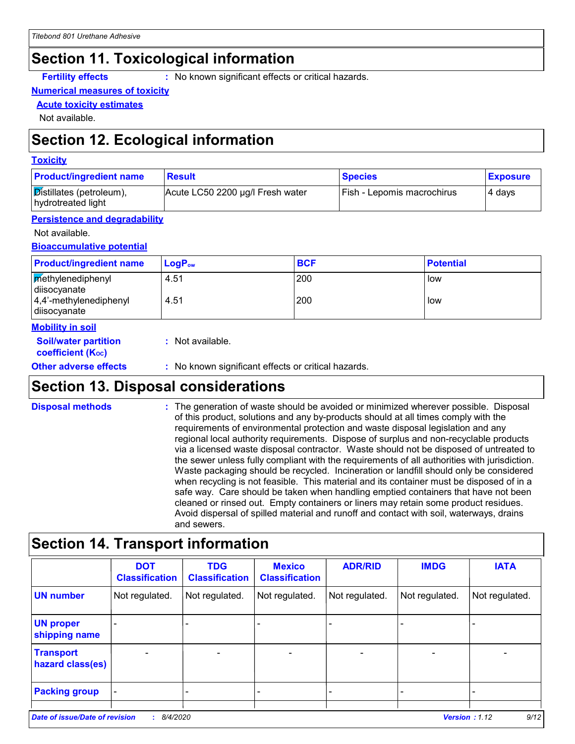### **Section 11. Toxicological information**

**Fertility effects :** No known significant effects or critical hazards.

#### **Numerical measures of toxicity**

**Acute toxicity estimates**

Not available.

### **Section 12. Ecological information**

#### **Toxicity**

| <b>Product/ingredient name</b>                 | <b>Result</b>                    | <b>Species</b>               | <b>Exposure</b> |
|------------------------------------------------|----------------------------------|------------------------------|-----------------|
| Distillates (petroleum),<br>hydrotreated light | Acute LC50 2200 µg/l Fresh water | [Fish - Lepomis macrochirus] | 4 days          |

#### **Persistence and degradability**

Not available.

**Bioaccumulative potential**

| <b>Methylenediphenyl</b><br>200<br>4.51<br>low<br>diisocyanate<br>200<br>$ 4,4'$ -methylenediphenyl<br>4.51<br>low<br>diisocyanate |  |
|------------------------------------------------------------------------------------------------------------------------------------|--|

#### **Mobility in soil**

| <b>Soil/water partition</b> | : Not available. |
|-----------------------------|------------------|
| <b>coefficient (Koc)</b>    |                  |

**Other adverse effects** : No known significant effects or critical hazards.

### **Section 13. Disposal considerations**

The generation of waste should be avoided or minimized wherever possible. Disposal of this product, solutions and any by-products should at all times comply with the requirements of environmental protection and waste disposal legislation and any regional local authority requirements. Dispose of surplus and non-recyclable products via a licensed waste disposal contractor. Waste should not be disposed of untreated to the sewer unless fully compliant with the requirements of all authorities with jurisdiction. Waste packaging should be recycled. Incineration or landfill should only be considered when recycling is not feasible. This material and its container must be disposed of in a safe way. Care should be taken when handling emptied containers that have not been cleaned or rinsed out. Empty containers or liners may retain some product residues. Avoid dispersal of spilled material and runoff and contact with soil, waterways, drains and sewers. **Disposal methods :**

### **Section 14. Transport information**

|                                       | <b>DOT</b><br><b>Classification</b> | <b>TDG</b><br><b>Classification</b> | <b>Mexico</b><br><b>Classification</b> | <b>ADR/RID</b>           | <b>IMDG</b>                  | <b>IATA</b>              |
|---------------------------------------|-------------------------------------|-------------------------------------|----------------------------------------|--------------------------|------------------------------|--------------------------|
| <b>UN number</b>                      | Not regulated.                      | Not regulated.                      | Not regulated.                         | Not regulated.           | Not regulated.               | Not regulated.           |
| <b>UN proper</b><br>shipping name     |                                     |                                     |                                        |                          |                              |                          |
| <b>Transport</b><br>hazard class(es)  |                                     |                                     | $\blacksquare$                         | $\overline{\phantom{0}}$ | $\qquad \qquad \blacksquare$ | $\overline{\phantom{0}}$ |
| <b>Packing group</b>                  |                                     |                                     |                                        |                          |                              | $\overline{\phantom{0}}$ |
| <b>Date of issue/Date of revision</b> | : 8/4/2020                          |                                     |                                        |                          | Version: 1.12                | 9/12                     |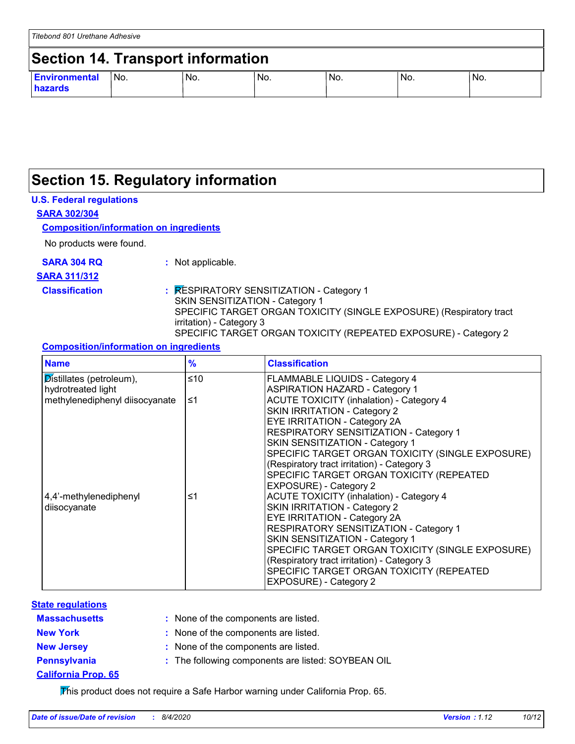### **Section 15. Regulatory information**

#### **U.S. Federal regulations**

**SARA 302/304**

#### **Composition/information on ingredients**

No products were found.

|  |  |  |  |  |  |  | <b>SARA 304 RQ</b> |  |
|--|--|--|--|--|--|--|--------------------|--|
|--|--|--|--|--|--|--|--------------------|--|

**:** Not applicable.

#### **SARA 311/312**

**Classification :** RESPIRATORY SENSITIZATION - Category 1 SKIN SENSITIZATION - Category 1 SPECIFIC TARGET ORGAN TOXICITY (SINGLE EXPOSURE) (Respiratory tract irritation) - Category 3 SPECIFIC TARGET ORGAN TOXICITY (REPEATED EXPOSURE) - Category 2

#### **Composition/information on ingredients**

| <b>Name</b>                           | $\frac{9}{6}$ | <b>Classification</b>                            |
|---------------------------------------|---------------|--------------------------------------------------|
| $\mathcal{D}$ istillates (petroleum), | ≤10           | <b>FLAMMABLE LIQUIDS - Category 4</b>            |
| hydrotreated light                    |               | <b>ASPIRATION HAZARD - Category 1</b>            |
| methylenediphenyl diisocyanate        | ≤1            | <b>ACUTE TOXICITY (inhalation) - Category 4</b>  |
|                                       |               | SKIN IRRITATION - Category 2                     |
|                                       |               | <b>EYE IRRITATION - Category 2A</b>              |
|                                       |               | <b>RESPIRATORY SENSITIZATION - Category 1</b>    |
|                                       |               | SKIN SENSITIZATION - Category 1                  |
|                                       |               | SPECIFIC TARGET ORGAN TOXICITY (SINGLE EXPOSURE) |
|                                       |               | (Respiratory tract irritation) - Category 3      |
|                                       |               | SPECIFIC TARGET ORGAN TOXICITY (REPEATED         |
|                                       |               | EXPOSURE) - Category 2                           |
| 4,4'-methylenediphenyl                | ≤1            | <b>ACUTE TOXICITY (inhalation) - Category 4</b>  |
| diisocyanate                          |               | <b>SKIN IRRITATION - Category 2</b>              |
|                                       |               | EYE IRRITATION - Category 2A                     |
|                                       |               | RESPIRATORY SENSITIZATION - Category 1           |
|                                       |               | SKIN SENSITIZATION - Category 1                  |
|                                       |               | SPECIFIC TARGET ORGAN TOXICITY (SINGLE EXPOSURE) |
|                                       |               | (Respiratory tract irritation) - Category 3      |
|                                       |               | SPECIFIC TARGET ORGAN TOXICITY (REPEATED         |
|                                       |               | EXPOSURE) - Category 2                           |

#### **Massachusetts : State regulations**

| : None of the components are listed. |  |
|--------------------------------------|--|
|                                      |  |

- 
- **New York :** None of the components are listed.
- **New Jersey :** None of the components are listed.
- **Pennsylvania :** The following components are listed: SOYBEAN OIL
- **California Prop. 65**

This product does not require a Safe Harbor warning under California Prop. 65.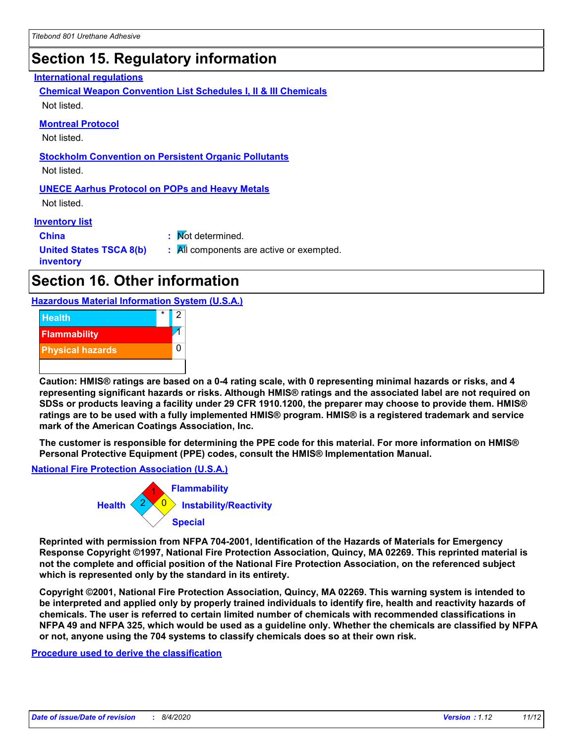### **Section 15. Regulatory information**

#### **International regulations**

**Chemical Weapon Convention List Schedules I, II & III Chemicals** Not listed.

#### **Montreal Protocol**

Not listed.

**Stockholm Convention on Persistent Organic Pollutants**

Not listed.

#### **UNECE Aarhus Protocol on POPs and Heavy Metals**

Not listed.

#### **Inventory list**

**China :** Not determined. **United States TSCA 8(b) inventory :** All components are active or exempted.

### **Section 16. Other information**

**Hazardous Material Information System (U.S.A.)**



**Caution: HMIS® ratings are based on a 0-4 rating scale, with 0 representing minimal hazards or risks, and 4 representing significant hazards or risks. Although HMIS® ratings and the associated label are not required on SDSs or products leaving a facility under 29 CFR 1910.1200, the preparer may choose to provide them. HMIS® ratings are to be used with a fully implemented HMIS® program. HMIS® is a registered trademark and service mark of the American Coatings Association, Inc.**

**The customer is responsible for determining the PPE code for this material. For more information on HMIS® Personal Protective Equipment (PPE) codes, consult the HMIS® Implementation Manual.**

**National Fire Protection Association (U.S.A.)**



**Reprinted with permission from NFPA 704-2001, Identification of the Hazards of Materials for Emergency Response Copyright ©1997, National Fire Protection Association, Quincy, MA 02269. This reprinted material is not the complete and official position of the National Fire Protection Association, on the referenced subject which is represented only by the standard in its entirety.**

**Copyright ©2001, National Fire Protection Association, Quincy, MA 02269. This warning system is intended to be interpreted and applied only by properly trained individuals to identify fire, health and reactivity hazards of chemicals. The user is referred to certain limited number of chemicals with recommended classifications in NFPA 49 and NFPA 325, which would be used as a guideline only. Whether the chemicals are classified by NFPA or not, anyone using the 704 systems to classify chemicals does so at their own risk.**

**Procedure used to derive the classification**